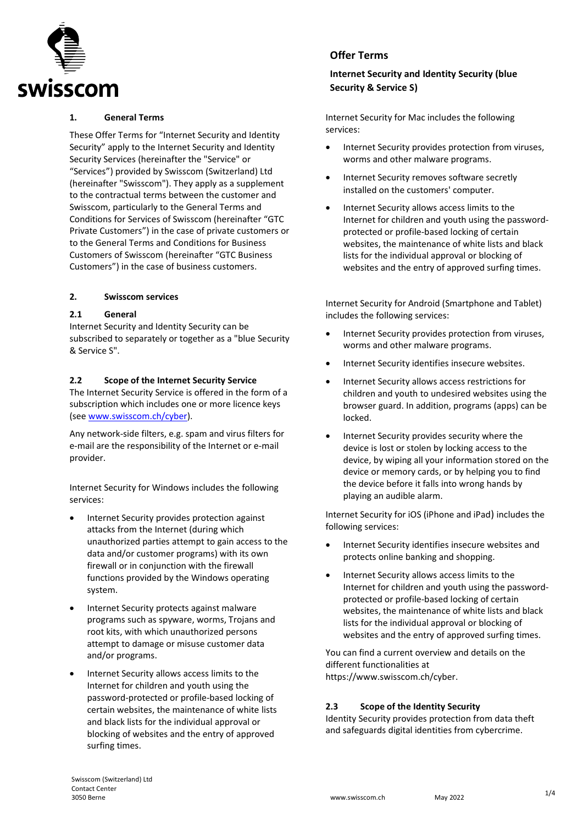

### **1. General Terms**

These Offer Terms for "Internet Security and Identity Security" apply to the Internet Security and Identity Security Services (hereinafter the "Service" or "Services") provided by Swisscom (Switzerland) Ltd (hereinafter "Swisscom"). They apply as a supplement to the contractual terms between the customer and Swisscom, particularly to the General Terms and Conditions for Services of Swisscom (hereinafter "GTC Private Customers") in the case of private customers or to the General Terms and Conditions for Business Customers of Swisscom (hereinafter "GTC Business Customers") in the case of business customers.

#### **2. Swisscom services**

#### **2.1 General**

Internet Security and Identity Security can be subscribed to separately or together as a "blue Security & Service S".

#### **2.2 Scope of the Internet Security Service**

The Internet Security Service is offered in the form of a subscription which includes one or more licence keys (see [www.swisscom.ch/cyber\)](http://www.swisscom.ch/cyber).

Any network-side filters, e.g. spam and virus filters for e-mail are the responsibility of the Internet or e-mail provider.

Internet Security for Windows includes the following services:

- Internet Security provides protection against attacks from the Internet (during which unauthorized parties attempt to gain access to the data and/or customer programs) with its own firewall or in conjunction with the firewall functions provided by the Windows operating system.
- Internet Security protects against malware programs such as spyware, worms, Trojans and root kits, with which unauthorized persons attempt to damage or misuse customer data and/or programs.
- Internet Security allows access limits to the Internet for children and youth using the password-protected or profile-based locking of certain websites, the maintenance of white lists and black lists for the individual approval or blocking of websites and the entry of approved surfing times.

# **Offer Terms**

# **Internet Security and Identity Security (blue Security & Service S)**

Internet Security for Mac includes the following services:

- Internet Security provides protection from viruses, worms and other malware programs.
- Internet Security removes software secretly installed on the customers' computer.
- Internet Security allows access limits to the Internet for children and youth using the passwordprotected or profile-based locking of certain websites, the maintenance of white lists and black lists for the individual approval or blocking of websites and the entry of approved surfing times.

Internet Security for Android (Smartphone and Tablet) includes the following services:

- Internet Security provides protection from viruses, worms and other malware programs.
- Internet Security identifies insecure websites.
- Internet Security allows access restrictions for children and youth to undesired websites using the browser guard. In addition, programs (apps) can be locked.
- Internet Security provides security where the device is lost or stolen by locking access to the device, by wiping all your information stored on the device or memory cards, or by helping you to find the device before it falls into wrong hands by playing an audible alarm.

Internet Security for iOS (iPhone and iPad) includes the following services:

- Internet Security identifies insecure websites and protects online banking and shopping.
- Internet Security allows access limits to the Internet for children and youth using the passwordprotected or profile-based locking of certain websites, the maintenance of white lists and black lists for the individual approval or blocking of websites and the entry of approved surfing times.

You can find a current overview and details on the different functionalities at https://www.swisscom.ch/cyber.

## **2.3 Scope of the Identity Security**

Identity Security provides protection from data theft and safeguards digital identities from cybercrime.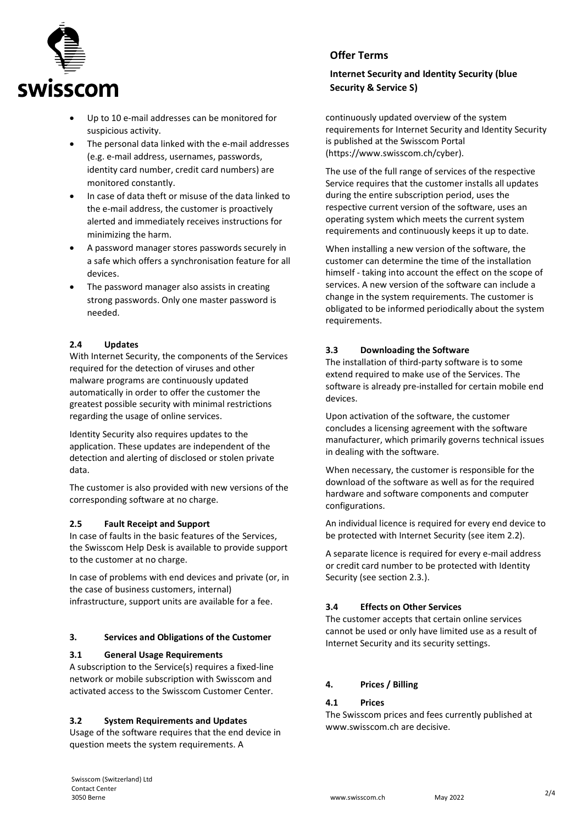

- Up to 10 e-mail addresses can be monitored for suspicious activity.
- The personal data linked with the e-mail addresses (e.g. e-mail address, usernames, passwords, identity card number, credit card numbers) are monitored constantly.
- In case of data theft or misuse of the data linked to the e-mail address, the customer is proactively alerted and immediately receives instructions for minimizing the harm.
- A password manager stores passwords securely in a safe which offers a synchronisation feature for all devices.
- The password manager also assists in creating strong passwords. Only one master password is needed.

#### **2.4 Updates**

With Internet Security, the components of the Services required for the detection of viruses and other malware programs are continuously updated automatically in order to offer the customer the greatest possible security with minimal restrictions regarding the usage of online services.

Identity Security also requires updates to the application. These updates are independent of the detection and alerting of disclosed or stolen private data.

The customer is also provided with new versions of the corresponding software at no charge.

#### **2.5 Fault Receipt and Support**

In case of faults in the basic features of the Services, the Swisscom Help Desk is available to provide support to the customer at no charge.

In case of problems with end devices and private (or, in the case of business customers, internal) infrastructure, support units are available for a fee.

#### **3. Services and Obligations of the Customer**

## **3.1 General Usage Requirements**

A subscription to the Service(s) requires a fixed-line network or mobile subscription with Swisscom and activated access to the Swisscom Customer Center.

## **3.2 System Requirements and Updates**

Usage of the software requires that the end device in question meets the system requirements. A

# **Offer Terms**

# **Internet Security and Identity Security (blue Security & Service S)**

continuously updated overview of the system requirements for Internet Security and Identity Security is published at the Swisscom Portal (https://www.swisscom.ch/cyber).

The use of the full range of services of the respective Service requires that the customer installs all updates during the entire subscription period, uses the respective current version of the software, uses an operating system which meets the current system requirements and continuously keeps it up to date.

When installing a new version of the software, the customer can determine the time of the installation himself - taking into account the effect on the scope of services. A new version of the software can include a change in the system requirements. The customer is obligated to be informed periodically about the system requirements.

## **3.3 Downloading the Software**

The installation of third-party software is to some extend required to make use of the Services. The software is already pre-installed for certain mobile end devices.

Upon activation of the software, the customer concludes a licensing agreement with the software manufacturer, which primarily governs technical issues in dealing with the software.

When necessary, the customer is responsible for the download of the software as well as for the required hardware and software components and computer configurations.

An individual licence is required for every end device to be protected with Internet Security (see item 2.2).

A separate licence is required for every e-mail address or credit card number to be protected with Identity Security (see section 2.3.).

## **3.4 Effects on Other Services**

The customer accepts that certain online services cannot be used or only have limited use as a result of Internet Security and its security settings.

## **4. Prices / Billing**

## **4.1 Prices**

The Swisscom prices and fees currently published at www.swisscom.ch are decisive.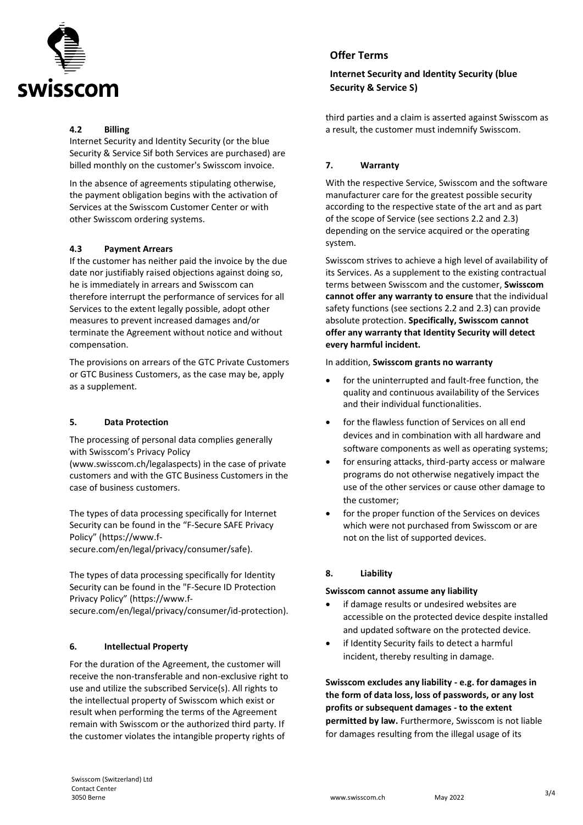

## **4.2 Billing**

Internet Security and Identity Security (or the blue Security & Service Sif both Services are purchased) are billed monthly on the customer's Swisscom invoice.

In the absence of agreements stipulating otherwise, the payment obligation begins with the activation of Services at the Swisscom Customer Center or with other Swisscom ordering systems.

#### **4.3 Payment Arrears**

If the customer has neither paid the invoice by the due date nor justifiably raised objections against doing so, he is immediately in arrears and Swisscom can therefore interrupt the performance of services for all Services to the extent legally possible, adopt other measures to prevent increased damages and/or terminate the Agreement without notice and without compensation.

The provisions on arrears of the GTC Private Customers or GTC Business Customers, as the case may be, apply as a supplement.

#### **5. Data Protection**

The processing of personal data complies generally with Swisscom's Privacy Policy

(www.swisscom.ch/legalaspects) in the case of private customers and with the GTC Business Customers in the case of business customers.

The types of data processing specifically for Internet Security can be found in the "F-Secure SAFE Privacy Policy" (https://www.f-

secure.com/en/legal/privacy/consumer/safe).

The types of data processing specifically for Identity Security can be found in the "F-Secure ID Protection Privacy Policy" (https://www.fsecure.com/en/legal/privacy/consumer/id-protection).

## **6. Intellectual Property**

For the duration of the Agreement, the customer will receive the non-transferable and non-exclusive right to use and utilize the subscribed Service(s). All rights to the intellectual property of Swisscom which exist or result when performing the terms of the Agreement remain with Swisscom or the authorized third party. If the customer violates the intangible property rights of

## **Offer Terms**

# **Internet Security and Identity Security (blue Security & Service S)**

third parties and a claim is asserted against Swisscom as a result, the customer must indemnify Swisscom.

## **7. Warranty**

With the respective Service, Swisscom and the software manufacturer care for the greatest possible security according to the respective state of the art and as part of the scope of Service (see sections 2.2 and 2.3) depending on the service acquired or the operating system.

Swisscom strives to achieve a high level of availability of its Services. As a supplement to the existing contractual terms between Swisscom and the customer, **Swisscom cannot offer any warranty to ensure** that the individual safety functions (see sections 2.2 and 2.3) can provide absolute protection. **Specifically, Swisscom cannot offer any warranty that Identity Security will detect every harmful incident.** 

In addition, **Swisscom grants no warranty**

- for the uninterrupted and fault-free function, the quality and continuous availability of the Services and their individual functionalities.
- for the flawless function of Services on all end devices and in combination with all hardware and software components as well as operating systems;
- for ensuring attacks, third-party access or malware programs do not otherwise negatively impact the use of the other services or cause other damage to the customer;
- for the proper function of the Services on devices which were not purchased from Swisscom or are not on the list of supported devices.

## **8. Liability**

#### **Swisscom cannot assume any liability**

- if damage results or undesired websites are accessible on the protected device despite installed and updated software on the protected device.
- if Identity Security fails to detect a harmful incident, thereby resulting in damage.

**Swisscom excludes any liability - e.g. for damages in the form of data loss, loss of passwords, or any lost profits or subsequent damages - to the extent permitted by law.** Furthermore, Swisscom is not liable for damages resulting from the illegal usage of its